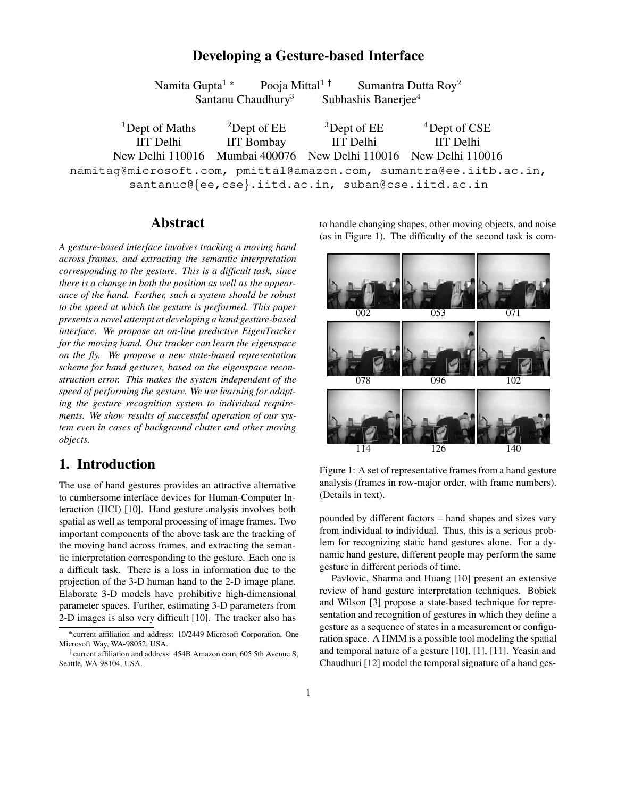## **Developing a Gesture-based Interface**

Namita Gupta<sup>1</sup> \* Pooja Mittal<sup>1†</sup> Santanu Chaudhury<sup>3</sup>

Sumantra Dutta Roy $^2$ Subhashis Banerjee<sup>4</sup>

 $1$  Dept of Maths  $1$ Dept of  $EE$   $3$ <sup>3</sup>Dept of EE Dept of CSE IIT Delhi IIT Bombay IIT Delhi IIT Delhi New Delhi 110016 Mumbai 400076 New Delhi 110016 New Delhi 110016 namitag@microsoft.com, pmittal@amazon.com, sumantra@ee.iitb.ac.in, santanuc@{ee,cse}.iitd.ac.in, suban@cse.iitd.ac.in

### **Abstract**

*A gesture-based interface involves tracking a moving hand across frames, and extracting the semantic interpretation corresponding to the gesture. This is a difficult task, since there is a change in both the position as well as the appearance of the hand. Further, such a system should be robust to the speed at which the gesture is performed. This paper presents a novel attempt at developing a hand gesture-based interface. We propose an on-line predictive EigenTracker for the moving hand. Our tracker can learn the eigenspace on the fly. We propose a new state-based representation scheme for hand gestures, based on the eigenspace reconstruction error. This makes the system independent of the speed of performing the gesture. We use learning for adapting the gesture recognition system to individual requirements. We show results of successful operation of our system even in cases of background clutter and other moving objects.*

### **1. Introduction**

The use of hand gestures provides an attractive alternative to cumbersome interface devices for Human-Computer Interaction (HCI) [10]. Hand gesture analysis involves both spatial as well as temporal processing of image frames. Two important components of the above task are the tracking of the moving hand across frames, and extracting the semantic interpretation corresponding to the gesture. Each one is a difficult task. There is a loss in information due to the projection of the 3-D human hand to the 2-D image plane. Elaborate 3-D models have prohibitive high-dimensional parameter spaces. Further, estimating 3-D parameters from 2-D images is also very difficult [10]. The tracker also has to handle changing shapes, other moving objects, and noise (as in Figure 1). The difficulty of the second task is com-



Figure 1: A set of representative frames from a hand gesture analysis (frames in row-major order, with frame numbers). (Details in text).

pounded by different factors – hand shapes and sizes vary from individual to individual. Thus, this is a serious problem for recognizing static hand gestures alone. For a dynamic hand gesture, different people may perform the same gesture in different periods of time.

Pavlovic, Sharma and Huang [10] present an extensive review of hand gesture interpretation techniques. Bobick and Wilson [3] propose a state-based technique for representation and recognition of gestures in which they define a gesture as a sequence of states in a measurement or configuration space. A HMM is a possible tool modeling the spatial and temporal nature of a gesture [10], [1], [11]. Yeasin and Chaudhuri [12] model the temporal signature of a hand ges-

current affiliation and address: 10/2449 Microsoft Corporation, One Microsoft Way, WA-98052, USA.

<sup>&</sup>lt;sup>†</sup> current affiliation and address: 454B Amazon.com, 605 5th Avenue S, Seattle, WA-98104, USA.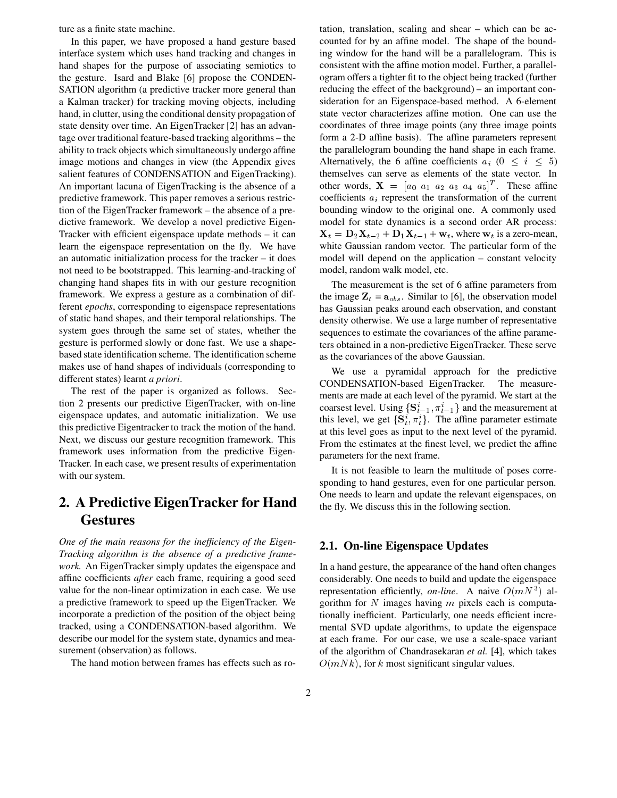ture as a finite state machine.

In this paper, we have proposed a hand gesture based interface system which uses hand tracking and changes in hand shapes for the purpose of associating semiotics to the gesture. Isard and Blake [6] propose the CONDEN-SATION algorithm (a predictive tracker more general than a Kalman tracker) for tracking moving objects, including hand, in clutter, using the conditional density propagation of state density over time. An EigenTracker [2] has an advantage over traditional feature-based tracking algorithms – the ability to track objects which simultaneously undergo affine image motions and changes in view (the Appendix gives salient features of CONDENSATION and EigenTracking). An important lacuna of EigenTracking is the absence of a predictive framework. This paper removes a serious restriction of the EigenTracker framework – the absence of a predictive framework. We develop a novel predictive Eigen-Tracker with efficient eigenspace update methods – it can learn the eigenspace representation on the fly. We have an automatic initialization process for the tracker – it does not need to be bootstrapped. This learning-and-tracking of changing hand shapes fits in with our gesture recognition framework. We express a gesture as a combination of different *epochs*, corresponding to eigenspace representations of static hand shapes, and their temporal relationships. The system goes through the same set of states, whether the gesture is performed slowly or done fast. We use a shapebased state identification scheme. The identification scheme makes use of hand shapes of individuals (corresponding to different states) learnt *a priori*.

The rest of the paper is organized as follows. Section 2 presents our predictive EigenTracker, with on-line eigenspace updates, and automatic initialization. We use this predictive Eigentracker to track the motion of the hand. Next, we discuss our gesture recognition framework. This framework uses information from the predictive Eigen-Tracker. In each case, we present results of experimentation with our system.

# **2. A Predictive EigenTracker for Hand Gestures**

*One of the main reasons for the inefficiency of the Eigen-Tracking algorithm is the absence of a predictive framework.* An EigenTracker simply updates the eigenspace and affine coefficients *after* each frame, requiring a good seed value for the non-linear optimization in each case. We use a predictive framework to speed up the EigenTracker. We incorporate a prediction of the position of the object being tracked, using a CONDENSATION-based algorithm. We describe our model for the system state, dynamics and measurement (observation) as follows.

The hand motion between frames has effects such as ro-

tation, translation, scaling and shear – which can be accounted for by an affine model. The shape of the bounding window for the hand will be a parallelogram. This is consistent with the affine motion model. Further, a parallelogram offers a tighter fit to the object being tracked (further reducing the effect of the background) – an important consideration for an Eigenspace-based method. A 6-element state vector characterizes affine motion. One can use the coordinates of three image points (any three image points form a 2-D affine basis). The affine parameters represent the parallelogram bounding the hand shape in each frame. Alternatively, the 6 affine coefficients  $a_i$  ( $0 \le i \le 5$ ) themselves can serve as elements of the state vector. In other words,  $X = [a_0 \ a_1 \ a_2 \ a_3 \ a_4 \ a_5]^T$ . These affine coefficients  $a_i$  represent the transformation of the current bounding window to the original one. A commonly used model for state dynamics is a second order AR process:  $X_t = D_2 X_{t-2} + D_1 X_{t-1} + w_t$ , where  $w_t$  is a zero-mean, white Gaussian random vector. The particular form of the model will depend on the application – constant velocity model, random walk model, etc.

The measurement is the set of 6 affine parameters from the image  $\mathbf{Z}_t = \mathbf{a}_{obs}$ . Similar to [6], the observation model has Gaussian peaks around each observation, and constant density otherwise. We use a large number of representative sequences to estimate the covariances of the affine parameters obtained in a non-predictive EigenTracker. These serve as the covariances of the above Gaussian.

We use a pyramidal approach for the predictive CONDENSATION-based EigenTracker. The measurements are made at each level of the pyramid. We start at the coarsest level. Using  $\{S_{t-1}^i, \pi_{t-1}^i\}$  and the measurement at this level, we get  $\{S_t^i, \pi_t^i\}$ . The affine parameter estimate at this level goes as input to the next level of the pyramid. From the estimates at the finest level, we predict the affine parameters for the next frame.

It is not feasible to learn the multitude of poses corresponding to hand gestures, even for one particular person. One needs to learn and update the relevant eigenspaces, on the fly. We discuss this in the following section.

#### **2.1. On-line Eigenspace Updates**

In a hand gesture, the appearance of the hand often changes considerably. One needs to build and update the eigenspace representation efficiently, *on-line*. A naive  $O(mN^3)$  algorithm for  $N$  images having  $m$  pixels each is computationally inefficient. Particularly, one needs efficient incremental SVD update algorithms, to update the eigenspace at each frame. For our case, we use a scale-space variant of the algorithm of Chandrasekaran *et al.* [4], which takes  $O(mNk)$ , for k most significant singular values.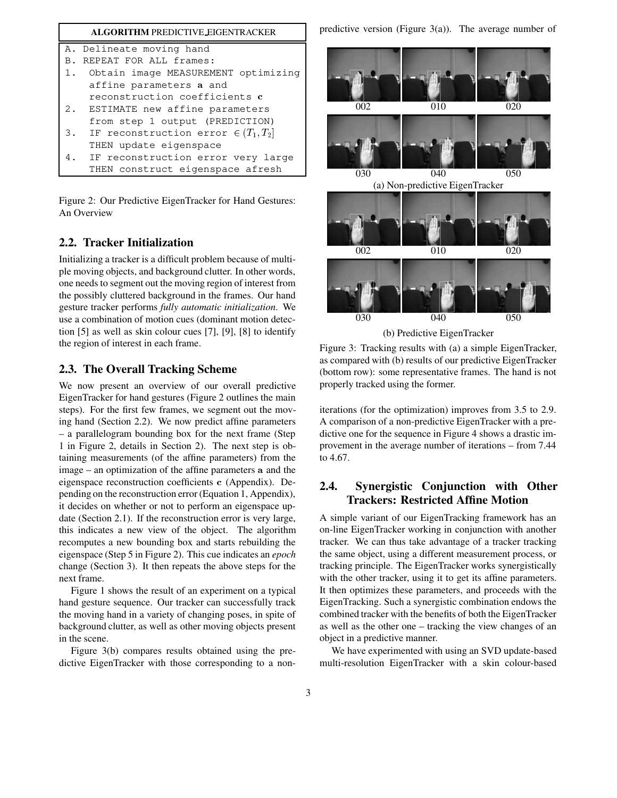|     | ALGORITHM PREDICTIVE EIGENTRACKER        |
|-----|------------------------------------------|
|     | A. Delineate moving hand                 |
|     | B. REPEAT FOR ALL frames:                |
|     | 1. Obtain image MEASUREMENT optimizing   |
|     | affine parameters a and                  |
|     | reconstruction coefficients c            |
| 2.1 | ESTIMATE new affine parameters           |
|     | from step 1 output (PREDICTION)          |
| 3.  | IF reconstruction error $\in (T_1, T_2]$ |
|     | THEN update eigenspace                   |
| 4.  | IF reconstruction error very large       |
|     | THEN construct eigenspace afresh         |

Figure 2: Our Predictive EigenTracker for Hand Gestures: An Overview

#### **2.2. Tracker Initialization**

Initializing a tracker is a difficult problem because of multiple moving objects, and background clutter. In other words, one needs to segment out the moving region of interest from the possibly cluttered background in the frames. Our hand gesture tracker performs *fully automatic initialization*. We use a combination of motion cues (dominant motion detection [5] as well as skin colour cues [7], [9], [8] to identify the region of interest in each frame.

#### **2.3. The Overall Tracking Scheme**

We now present an overview of our overall predictive EigenTracker for hand gestures (Figure 2 outlines the main steps). For the first few frames, we segment out the moving hand (Section 2.2). We now predict affine parameters – a parallelogram bounding box for the next frame (Step 1 in Figure 2, details in Section 2). The next step is obtaining measurements (of the affine parameters) from the  $image - an optimization of the affine parameters  $a$  and the$ eigenspace reconstruction coefficients (Appendix). Depending on the reconstruction error (Equation 1, Appendix), it decides on whether or not to perform an eigenspace update (Section 2.1). If the reconstruction error is very large, this indicates a new view of the object. The algorithm recomputes a new bounding box and starts rebuilding the eigenspace (Step 5 in Figure 2). This cue indicates an *epoch* change (Section 3). It then repeats the above steps for the next frame.

Figure 1 shows the result of an experiment on a typical hand gesture sequence. Our tracker can successfully track the moving hand in a variety of changing poses, in spite of background clutter, as well as other moving objects present in the scene.

Figure 3(b) compares results obtained using the predictive EigenTracker with those corresponding to a non-



(b) Predictive EigenTracker

Figure 3: Tracking results with (a) a simple EigenTracker, as compared with (b) results of our predictive EigenTracker (bottom row): some representative frames. The hand is not properly tracked using the former.

iterations (for the optimization) improves from 3.5 to 2.9. A comparison of a non-predictive EigenTracker with a predictive one for the sequence in Figure 4 shows a drastic improvement in the average number of iterations – from 7.44 to 4.67.

### **2.4. Synergistic Conjunction with Other Trackers: Restricted Affine Motion**

A simple variant of our EigenTracking framework has an on-line EigenTracker working in conjunction with another tracker. We can thus take advantage of a tracker tracking the same object, using a different measurement process, or tracking principle. The EigenTracker works synergistically with the other tracker, using it to get its affine parameters. It then optimizes these parameters, and proceeds with the EigenTracking. Such a synergistic combination endows the combined tracker with the benefits of both the EigenTracker as well as the other one – tracking the view changes of an object in a predictive manner.

We have experimented with using an SVD update-based multi-resolution EigenTracker with a skin colour-based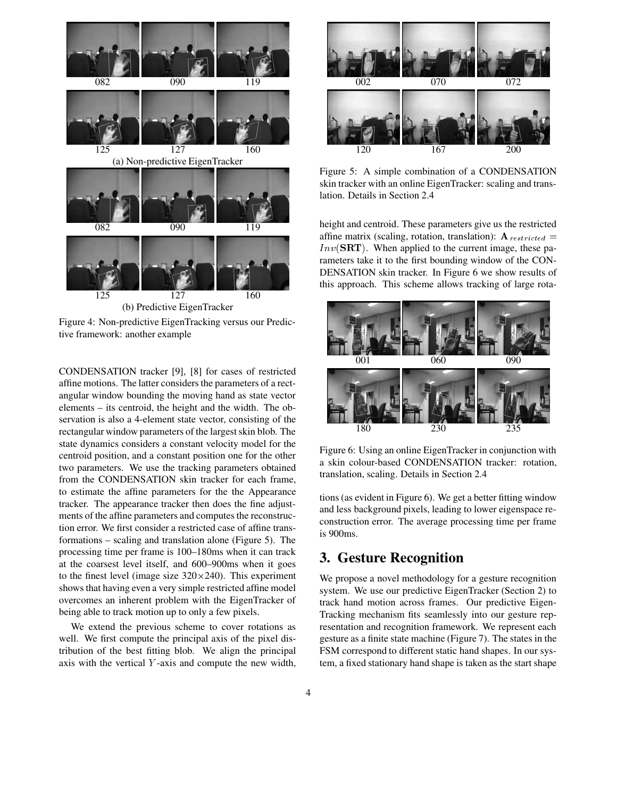

Figure 4: Non-predictive EigenTracking versus our Predictive framework: another example

CONDENSATION tracker [9], [8] for cases of restricted affine motions. The latter considers the parameters of a rectangular window bounding the moving hand as state vector elements – its centroid, the height and the width. The observation is also a 4-element state vector, consisting of the rectangular window parameters of the largest skin blob. The state dynamics considers a constant velocity model for the centroid position, and a constant position one for the other two parameters. We use the tracking parameters obtained from the CONDENSATION skin tracker for each frame, to estimate the affine parameters for the the Appearance tracker. The appearance tracker then does the fine adjustments of the affine parameters and computes the reconstruction error. We first consider a restricted case of affine transformations – scaling and translation alone (Figure 5). The processing time per frame is 100–180ms when it can track at the coarsest level itself, and 600–900ms when it goes to the finest level (image size  $320 \times 240$ ). This experiment shows that having even a very simple restricted affine model overcomes an inherent problem with the EigenTracker of being able to track motion up to only a few pixels.

We extend the previous scheme to cover rotations as well. We first compute the principal axis of the pixel distribution of the best fitting blob. We align the principal axis with the vertical  $Y$ -axis and compute the new width,



Figure 5: A simple combination of a CONDENSATION skin tracker with an online EigenTracker: scaling and translation. Details in Section 2.4

height and centroid. These parameters give us the restricted affine matrix (scaling, rotation, translation):  $A_{\text{restricted}} =$  $Inv(SRT)$ . When applied to the current image, these parameters take it to the first bounding window of the CON-DENSATION skin tracker. In Figure 6 we show results of this approach. This scheme allows tracking of large rota-



Figure 6: Using an online EigenTracker in conjunction with a skin colour-based CONDENSATION tracker: rotation, translation, scaling. Details in Section 2.4

tions (as evident in Figure 6). We get a better fitting window and less background pixels, leading to lower eigenspace reconstruction error. The average processing time per frame is 900ms.

### **3. Gesture Recognition**

We propose a novel methodology for a gesture recognition system. We use our predictive EigenTracker (Section 2) to track hand motion across frames. Our predictive Eigen-Tracking mechanism fits seamlessly into our gesture representation and recognition framework. We represent each gesture as a finite state machine (Figure 7). The states in the FSM correspond to different static hand shapes. In our system, a fixed stationary hand shape is taken as the start shape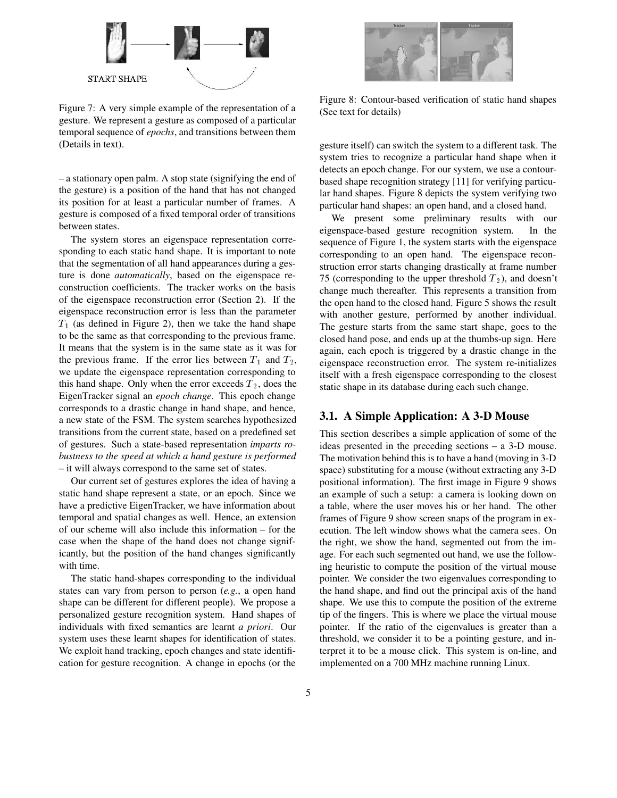

Figure 7: A very simple example of the representation of a gesture. We represent a gesture as composed of a particular temporal sequence of *epochs*, and transitions between them (Details in text).

– a stationary open palm. A stop state (signifying the end of the gesture) is a position of the hand that has not changed its position for at least a particular number of frames. A gesture is composed of a fixed temporal order of transitions between states.

The system stores an eigenspace representation corresponding to each static hand shape. It is important to note that the segmentation of all hand appearances during a gesture is done *automatically*, based on the eigenspace reconstruction coefficients. The tracker works on the basis of the eigenspace reconstruction error (Section 2). If the eigenspace reconstruction error is less than the parameter  $T_1$  (as defined in Figure 2), then we take the hand shape to be the same as that corresponding to the previous frame. It means that the system is in the same state as it was for the previous frame. If the error lies between  $T_1$  and  $T_2$ , we update the eigenspace representation corresponding to this hand shape. Only when the error exceeds  $T_2$ , does the EigenTracker signal an *epoch change*. This epoch change corresponds to a drastic change in hand shape, and hence, a new state of the FSM. The system searches hypothesized transitions from the current state, based on a predefined set of gestures. Such a state-based representation *imparts robustness to the speed at which a hand gesture is performed* – it will always correspond to the same set of states.

Our current set of gestures explores the idea of having a static hand shape represent a state, or an epoch. Since we have a predictive EigenTracker, we have information about temporal and spatial changes as well. Hence, an extension of our scheme will also include this information – for the case when the shape of the hand does not change significantly, but the position of the hand changes significantly with time.

The static hand-shapes corresponding to the individual states can vary from person to person (*e.g.*, a open hand shape can be different for different people). We propose a personalized gesture recognition system. Hand shapes of individuals with fixed semantics are learnt *a priori*. Our system uses these learnt shapes for identification of states. We exploit hand tracking, epoch changes and state identification for gesture recognition. A change in epochs (or the



Figure 8: Contour-based verification of static hand shapes (See text for details)

gesture itself) can switch the system to a different task. The system tries to recognize a particular hand shape when it detects an epoch change. For our system, we use a contourbased shape recognition strategy [11] for verifying particular hand shapes. Figure 8 depicts the system verifying two particular hand shapes: an open hand, and a closed hand.

We present some preliminary results with our eigenspace-based gesture recognition system. In the sequence of Figure 1, the system starts with the eigenspace corresponding to an open hand. The eigenspace reconstruction error starts changing drastically at frame number 75 (corresponding to the upper threshold  $T_2$ ), and doesn't change much thereafter. This represents a transition from the open hand to the closed hand. Figure 5 shows the result with another gesture, performed by another individual. The gesture starts from the same start shape, goes to the closed hand pose, and ends up at the thumbs-up sign. Here again, each epoch is triggered by a drastic change in the eigenspace reconstruction error. The system re-initializes itself with a fresh eigenspace corresponding to the closest static shape in its database during each such change.

#### **3.1. A Simple Application: A 3-D Mouse**

This section describes a simple application of some of the ideas presented in the preceding sections – a 3-D mouse. The motivation behind this is to have a hand (moving in 3-D space) substituting for a mouse (without extracting any 3-D positional information). The first image in Figure 9 shows an example of such a setup: a camera is looking down on a table, where the user moves his or her hand. The other frames of Figure 9 show screen snaps of the program in execution. The left window shows what the camera sees. On the right, we show the hand, segmented out from the image. For each such segmented out hand, we use the following heuristic to compute the position of the virtual mouse pointer. We consider the two eigenvalues corresponding to the hand shape, and find out the principal axis of the hand shape. We use this to compute the position of the extreme tip of the fingers. This is where we place the virtual mouse pointer. If the ratio of the eigenvalues is greater than a threshold, we consider it to be a pointing gesture, and interpret it to be a mouse click. This system is on-line, and implemented on a 700 MHz machine running Linux.